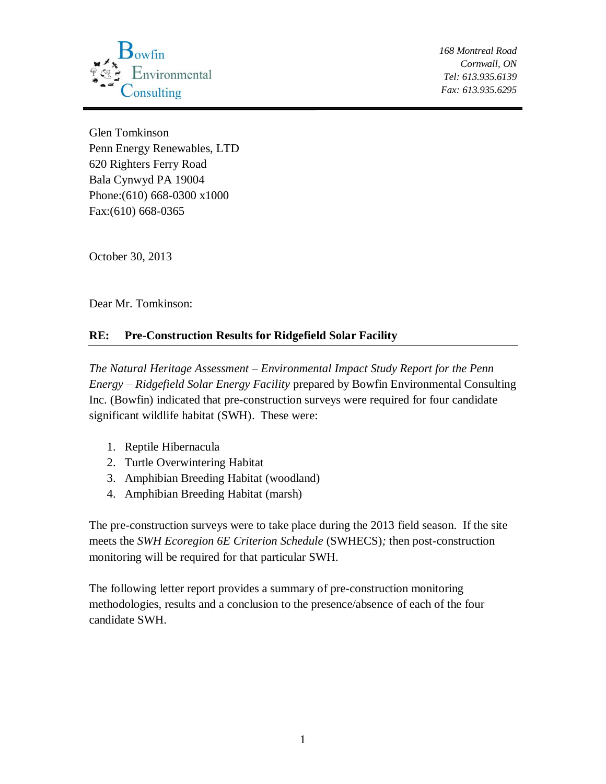

Glen Tomkinson Penn Energy Renewables, LTD 620 Righters Ferry Road Bala Cynwyd PA 19004 Phone:(610) 668-0300 x1000 Fax:(610) 668-0365

October 30, 2013

Dear Mr. Tomkinson:

## **RE: Pre-Construction Results for Ridgefield Solar Facility**

*The Natural Heritage Assessment – Environmental Impact Study Report for the Penn Energy – Ridgefield Solar Energy Facility* prepared by Bowfin Environmental Consulting Inc. (Bowfin) indicated that pre-construction surveys were required for four candidate significant wildlife habitat (SWH). These were:

- 1. Reptile Hibernacula
- 2. Turtle Overwintering Habitat
- 3. Amphibian Breeding Habitat (woodland)
- 4. Amphibian Breeding Habitat (marsh)

The pre-construction surveys were to take place during the 2013 field season. If the site meets the *SWH Ecoregion 6E Criterion Schedule* (SWHECS)*;* then post-construction monitoring will be required for that particular SWH.

The following letter report provides a summary of pre-construction monitoring methodologies, results and a conclusion to the presence/absence of each of the four candidate SWH.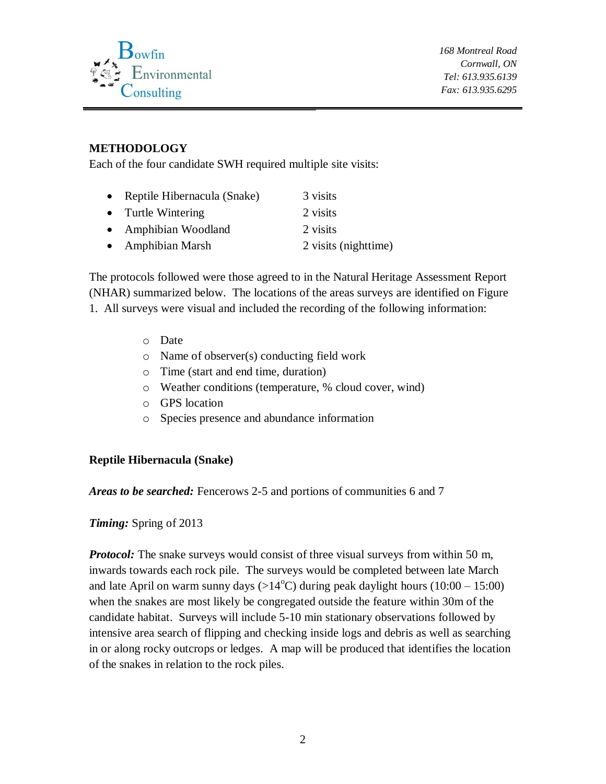

## **METHODOLOGY**

Each of the four candidate SWH required multiple site visits:

| • Reptile Hibernacula (Snake) | 3 visits             |
|-------------------------------|----------------------|
| • Turtle Wintering            | 2 visits             |
| • Amphibian Woodland          | 2 visits             |
| • Amphibian Marsh             | 2 visits (nighttime) |

The protocols followed were those agreed to in the Natural Heritage Assessment Report (NHAR) summarized below. The locations of the areas surveys are identified on Figure 1. All surveys were visual and included the recording of the following information:

- o Date
- o Name of observer(s) conducting field work
- o Time (start and end time, duration)
- o Weather conditions (temperature, % cloud cover, wind)
- o GPS location
- o Species presence and abundance information

## **Reptile Hibernacula (Snake)**

*Areas to be searched:* Fencerows 2-5 and portions of communities 6 and 7

*Timing:* Spring of 2013

*Protocol:* The snake surveys would consist of three visual surveys from within 50 m, inwards towards each rock pile. The surveys would be completed between late March and late April on warm sunny days  $(>14^{\circ}C)$  during peak daylight hours  $(10:00 - 15:00)$ when the snakes are most likely be congregated outside the feature within 30m of the candidate habitat. Surveys will include 5-10 min stationary observations followed by intensive area search of flipping and checking inside logs and debris as well as searching in or along rocky outcrops or ledges. A map will be produced that identifies the location of the snakes in relation to the rock piles.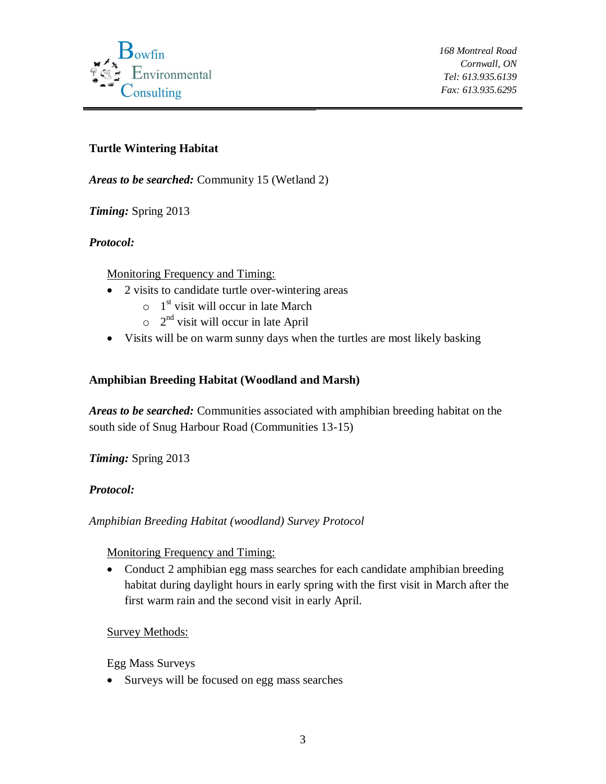

## **Turtle Wintering Habitat**

*Areas to be searched:* Community 15 (Wetland 2)

*Timing:* Spring 2013

## *Protocol:*

Monitoring Frequency and Timing:

- 2 visits to candidate turtle over-wintering areas
	- $\circ$  1<sup>st</sup> visit will occur in late March
	- $\circ$  2<sup>nd</sup> visit will occur in late April
- Visits will be on warm sunny days when the turtles are most likely basking

## **Amphibian Breeding Habitat (Woodland and Marsh)**

*Areas to be searched:* Communities associated with amphibian breeding habitat on the south side of Snug Harbour Road (Communities 13-15)

*Timing:* Spring 2013

## *Protocol:*

*Amphibian Breeding Habitat (woodland) Survey Protocol*

Monitoring Frequency and Timing:

• Conduct 2 amphibian egg mass searches for each candidate amphibian breeding habitat during daylight hours in early spring with the first visit in March after the first warm rain and the second visit in early April.

## Survey Methods:

Egg Mass Surveys

• Surveys will be focused on egg mass searches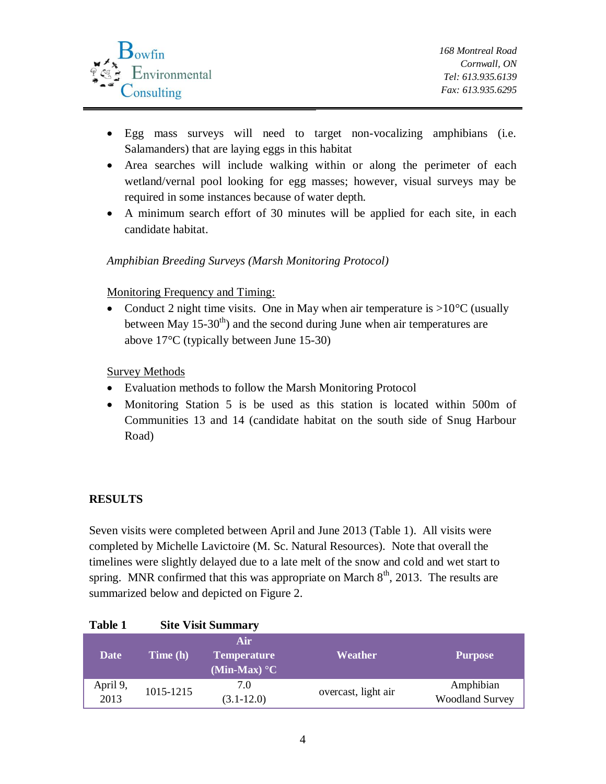

- Egg mass surveys will need to target non-vocalizing amphibians (i.e. Salamanders) that are laying eggs in this habitat
- Area searches will include walking within or along the perimeter of each wetland/vernal pool looking for egg masses; however, visual surveys may be required in some instances because of water depth.
- A minimum search effort of 30 minutes will be applied for each site, in each candidate habitat.

#### *Amphibian Breeding Surveys (Marsh Monitoring Protocol)*

#### Monitoring Frequency and Timing:

• Conduct 2 night time visits. One in May when air temperature is  $>10^{\circ}$ C (usually between May  $15\text{-}30^{\text{th}}$  and the second during June when air temperatures are above 17°C (typically between June 15-30)

#### Survey Methods

- Evaluation methods to follow the Marsh Monitoring Protocol
- Monitoring Station 5 is be used as this station is located within 500m of Communities 13 and 14 (candidate habitat on the south side of Snug Harbour Road)

## **RESULTS**

Seven visits were completed between April and June 2013 (Table 1). All visits were completed by Michelle Lavictoire (M. Sc. Natural Resources). Note that overall the timelines were slightly delayed due to a late melt of the snow and cold and wet start to spring. MNR confirmed that this was appropriate on March  $8<sup>th</sup>$ , 2013. The results are summarized below and depicted on Figure 2.

#### **Table 1 Site Visit Summary**

| <b>Date</b>      | Time (h)  | Air<br>Temperature<br>(Min-Max) $\mathrm{C}$ | Weather             | <b>Purpose</b>                      |
|------------------|-----------|----------------------------------------------|---------------------|-------------------------------------|
| April 9,<br>2013 | 1015-1215 | 7.0<br>$(3.1 - 12.0)$                        | overcast, light air | Amphibian<br><b>Woodland Survey</b> |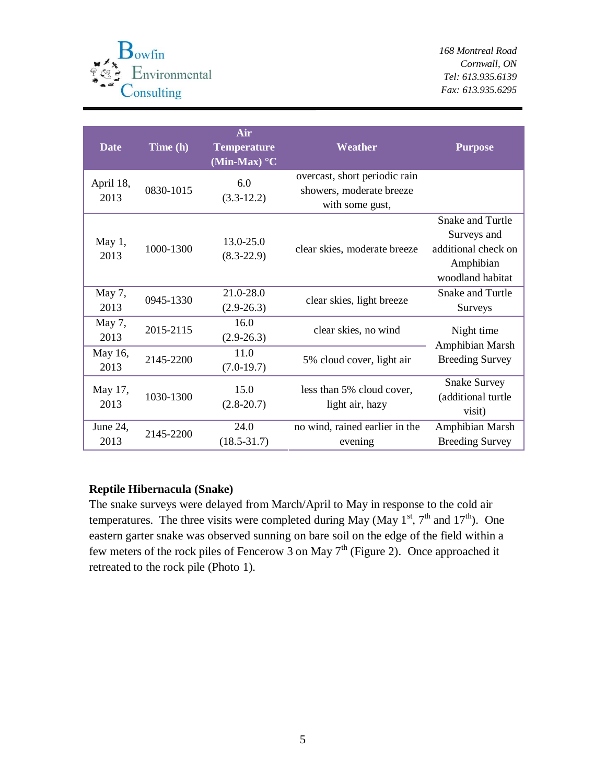

| <b>Date</b>       | Time (h)  | Air<br><b>Temperature</b><br>(Min-Max) $\mathrm{C}$ | Weather                                                                      | <b>Purpose</b>                                                                                 |  |
|-------------------|-----------|-----------------------------------------------------|------------------------------------------------------------------------------|------------------------------------------------------------------------------------------------|--|
| April 18,<br>2013 | 0830-1015 | 6.0<br>$(3.3-12.2)$                                 | overcast, short periodic rain<br>showers, moderate breeze<br>with some gust, |                                                                                                |  |
| May 1,<br>2013    | 1000-1300 | 13.0-25.0<br>$(8.3 - 22.9)$                         | clear skies, moderate breeze                                                 | <b>Snake and Turtle</b><br>Surveys and<br>additional check on<br>Amphibian<br>woodland habitat |  |
| May 7,<br>2013    | 0945-1330 | 21.0-28.0<br>$(2.9-26.3)$                           | clear skies, light breeze                                                    | Snake and Turtle<br>Surveys                                                                    |  |
| May 7,<br>2013    | 2015-2115 | 16.0<br>$(2.9-26.3)$                                | clear skies, no wind                                                         | Night time<br>Amphibian Marsh                                                                  |  |
| May 16,<br>2013   | 2145-2200 | 11.0<br>$(7.0-19.7)$                                | 5% cloud cover, light air                                                    | <b>Breeding Survey</b>                                                                         |  |
| May 17,<br>2013   | 1030-1300 | 15.0<br>$(2.8 - 20.7)$                              | less than 5% cloud cover,<br>light air, hazy                                 | <b>Snake Survey</b><br>(additional turtle<br>visit)                                            |  |
| June 24,<br>2013  | 2145-2200 | 24.0<br>$(18.5 - 31.7)$                             | no wind, rained earlier in the<br>evening                                    | Amphibian Marsh<br><b>Breeding Survey</b>                                                      |  |

#### **Reptile Hibernacula (Snake)**

The snake surveys were delayed from March/April to May in response to the cold air temperatures. The three visits were completed during May (May  $1^{st}$ ,  $7^{th}$  and  $17^{th}$ ). One eastern garter snake was observed sunning on bare soil on the edge of the field within a few meters of the rock piles of Fencerow 3 on May  $7<sup>th</sup>$  (Figure 2). Once approached it retreated to the rock pile (Photo 1).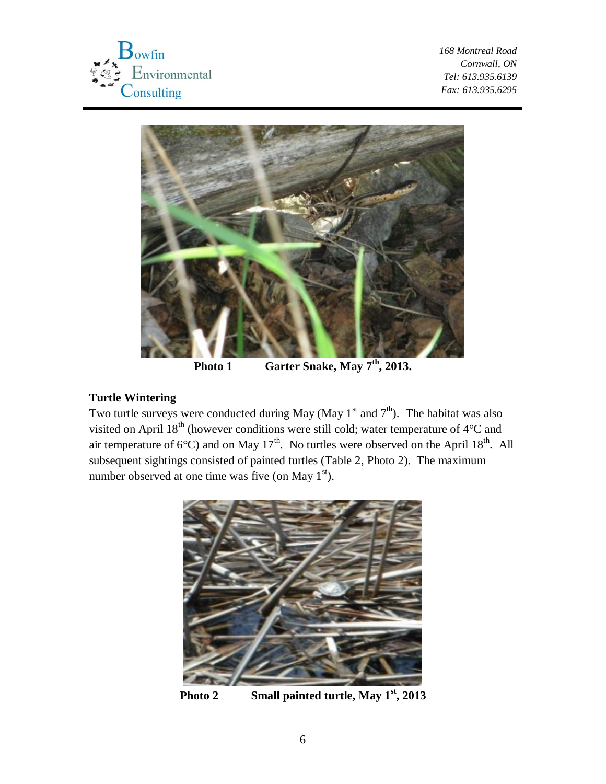



Photo 1 **Garter Snake, May 7<sup>th</sup>, 2013.** 

## **Turtle Wintering**

Two turtle surveys were conducted during May (May  $1^{st}$  and  $7^{th}$ ). The habitat was also visited on April  $18<sup>th</sup>$  (however conditions were still cold; water temperature of  $4<sup>°</sup>C$  and air temperature of 6°C) and on May 17<sup>th</sup>. No turtles were observed on the April 18<sup>th</sup>. All subsequent sightings consisted of painted turtles (Table 2, Photo 2). The maximum number observed at one time was five (on May  $1<sup>st</sup>$ ).



**Photo 2 Small painted turtle, May 1st, 2013**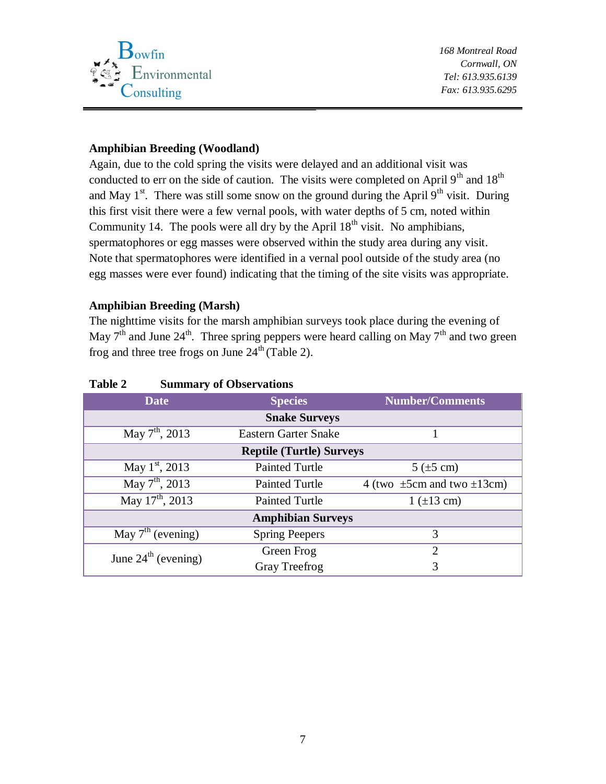

#### **Amphibian Breeding (Woodland)**

Again, due to the cold spring the visits were delayed and an additional visit was conducted to err on the side of caution. The visits were completed on April  $9<sup>th</sup>$  and  $18<sup>th</sup>$ and May 1<sup>st</sup>. There was still some snow on the ground during the April 9<sup>th</sup> visit. During this first visit there were a few vernal pools, with water depths of 5 cm, noted within Community 14. The pools were all dry by the April  $18<sup>th</sup>$  visit. No amphibians, spermatophores or egg masses were observed within the study area during any visit. Note that spermatophores were identified in a vernal pool outside of the study area (no egg masses were ever found) indicating that the timing of the site visits was appropriate.

#### **Amphibian Breeding (Marsh)**

The nighttime visits for the marsh amphibian surveys took place during the evening of May  $7<sup>th</sup>$  and June 24<sup>th</sup>. Three spring peppers were heard calling on May  $7<sup>th</sup>$  and two green frog and three tree frogs on June  $24<sup>th</sup>$  (Table 2).

| <b>Date</b>                     | <b>Species</b>                  | <b>Number/Comments</b>               |
|---------------------------------|---------------------------------|--------------------------------------|
|                                 | <b>Snake Surveys</b>            |                                      |
| May $7^{\text{th}}$ , 2013      | <b>Eastern Garter Snake</b>     |                                      |
|                                 | <b>Reptile (Turtle) Surveys</b> |                                      |
| May 1 <sup>st</sup> , 2013      | <b>Painted Turtle</b>           | $5$ ( $\pm 5$ cm)                    |
| May $7^{\text{th}}$ , 2013      | <b>Painted Turtle</b>           | 4 (two $\pm$ 5cm and two $\pm$ 13cm) |
| May $17^{th}$ , 2013            | <b>Painted Turtle</b>           | $1 (+13 cm)$                         |
|                                 | <b>Amphibian Surveys</b>        |                                      |
| May $7th$ (evening)             | <b>Spring Peepers</b>           | 3                                    |
| June $24^{\text{th}}$ (evening) | Green Frog                      | $\mathcal{D}_{\mathcal{L}}$          |
|                                 | Gray Treefrog                   | 3                                    |

#### **Table 2 Summary of Observations**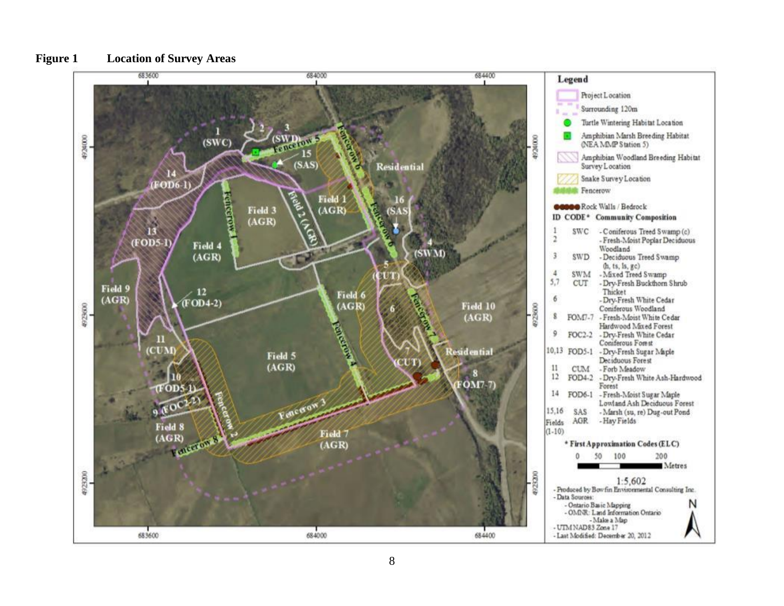

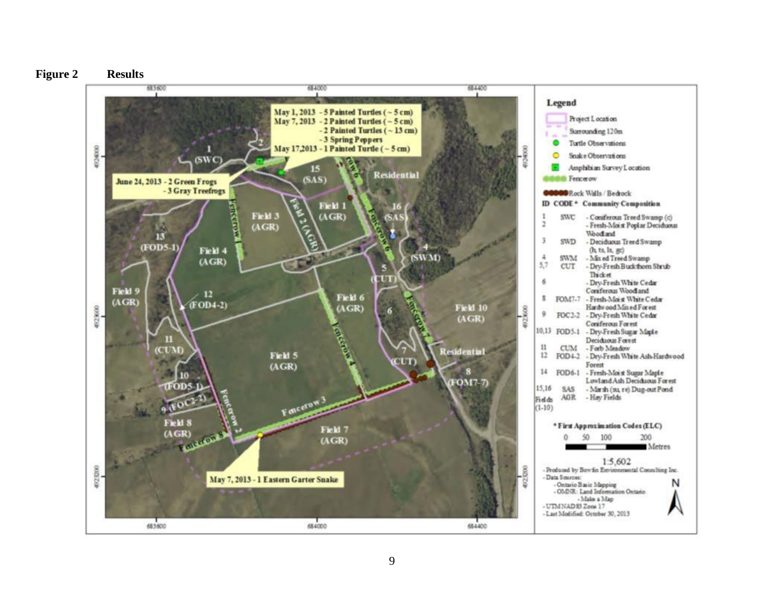

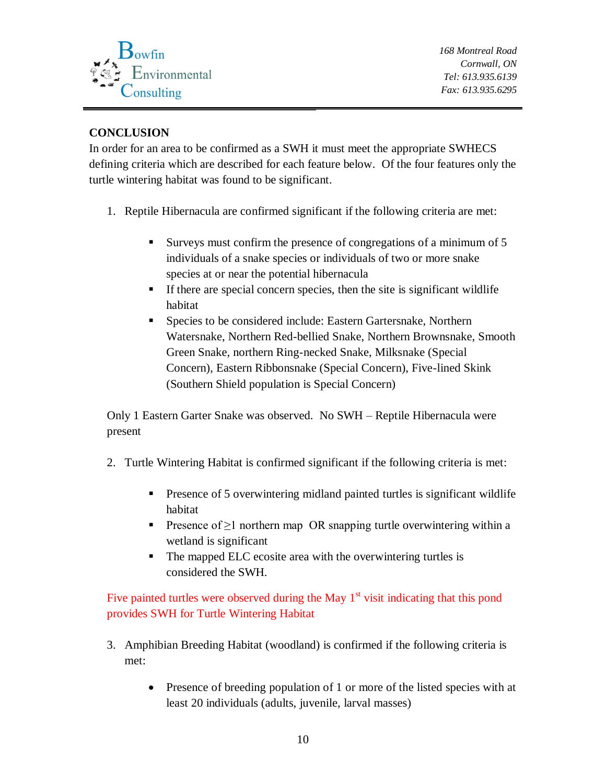

# **CONCLUSION**

In order for an area to be confirmed as a SWH it must meet the appropriate SWHECS defining criteria which are described for each feature below. Of the four features only the turtle wintering habitat was found to be significant.

- 1. Reptile Hibernacula are confirmed significant if the following criteria are met:
	- Surveys must confirm the presence of congregations of a minimum of 5 individuals of a snake species or individuals of two or more snake species at or near the potential hibernacula
	- If there are special concern species, then the site is significant wildlife habitat
	- **Species to be considered include: Eastern Gartersnake, Northern** Watersnake, Northern Red-bellied Snake, Northern Brownsnake, Smooth Green Snake, northern Ring-necked Snake, Milksnake (Special Concern), Eastern Ribbonsnake (Special Concern), Five-lined Skink (Southern Shield population is Special Concern)

Only 1 Eastern Garter Snake was observed. No SWH – Reptile Hibernacula were present

- 2. Turtle Wintering Habitat is confirmed significant if the following criteria is met:
	- **Presence of 5 overwintering midland painted turtles is significant wildlife** habitat
	- **Presence of**  $\geq$ **1 northern map OR snapping turtle overwintering within a** wetland is significant
	- The mapped ELC ecosite area with the overwintering turtles is considered the SWH.

# Five painted turtles were observed during the May  $1<sup>st</sup>$  visit indicating that this pond provides SWH for Turtle Wintering Habitat

- 3. Amphibian Breeding Habitat (woodland) is confirmed if the following criteria is met:
	- Presence of breeding population of 1 or more of the listed species with at least 20 individuals (adults, juvenile, larval masses)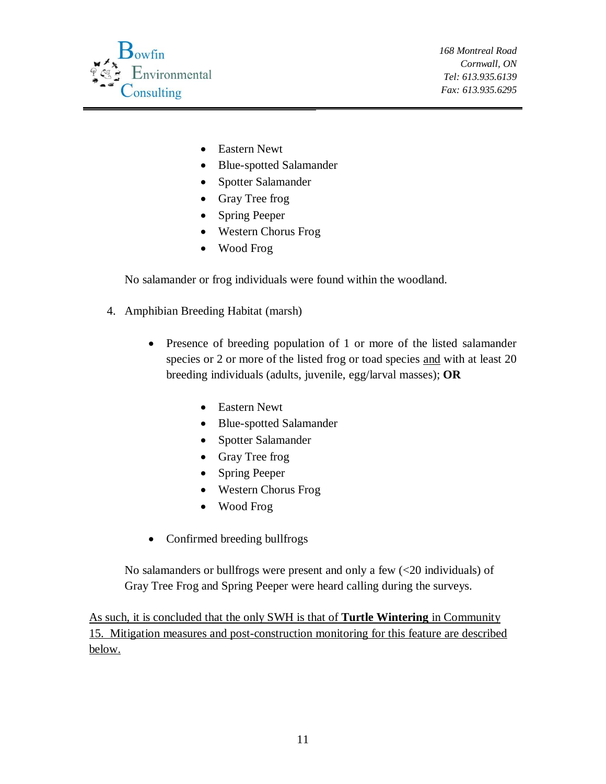

- Eastern Newt
- Blue-spotted Salamander
- Spotter Salamander
- Gray Tree frog
- Spring Peeper
- Western Chorus Frog
- Wood Frog

No salamander or frog individuals were found within the woodland.

- 4. Amphibian Breeding Habitat (marsh)
	- Presence of breeding population of 1 or more of the listed salamander species or 2 or more of the listed frog or toad species and with at least 20 breeding individuals (adults, juvenile, egg/larval masses); **OR**
		- Eastern Newt
		- Blue-spotted Salamander
		- Spotter Salamander
		- Gray Tree frog
		- Spring Peeper
		- Western Chorus Frog
		- Wood Frog
	- Confirmed breeding bullfrogs

No salamanders or bullfrogs were present and only a few (<20 individuals) of Gray Tree Frog and Spring Peeper were heard calling during the surveys.

As such, it is concluded that the only SWH is that of **Turtle Wintering** in Community 15. Mitigation measures and post-construction monitoring for this feature are described below.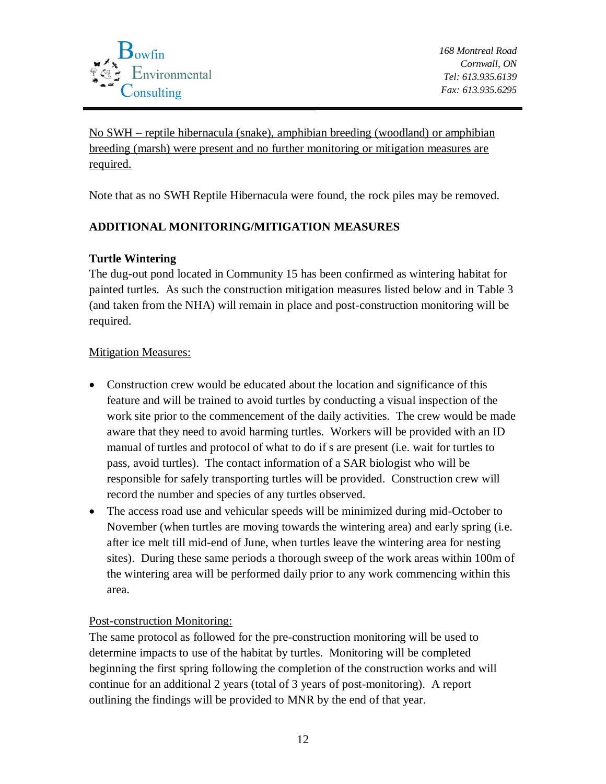

No SWH – reptile hibernacula (snake), amphibian breeding (woodland) or amphibian breeding (marsh) were present and no further monitoring or mitigation measures are required.

Note that as no SWH Reptile Hibernacula were found, the rock piles may be removed.

## **ADDITIONAL MONITORING/MITIGATION MEASURES**

## **Turtle Wintering**

The dug-out pond located in Community 15 has been confirmed as wintering habitat for painted turtles. As such the construction mitigation measures listed below and in Table 3 (and taken from the NHA) will remain in place and post-construction monitoring will be required.

#### Mitigation Measures:

- Construction crew would be educated about the location and significance of this feature and will be trained to avoid turtles by conducting a visual inspection of the work site prior to the commencement of the daily activities. The crew would be made aware that they need to avoid harming turtles. Workers will be provided with an ID manual of turtles and protocol of what to do if s are present (i.e. wait for turtles to pass, avoid turtles). The contact information of a SAR biologist who will be responsible for safely transporting turtles will be provided. Construction crew will record the number and species of any turtles observed.
- The access road use and vehicular speeds will be minimized during mid-October to November (when turtles are moving towards the wintering area) and early spring (i.e. after ice melt till mid-end of June, when turtles leave the wintering area for nesting sites). During these same periods a thorough sweep of the work areas within 100m of the wintering area will be performed daily prior to any work commencing within this area.

Post-construction Monitoring:

The same protocol as followed for the pre-construction monitoring will be used to determine impacts to use of the habitat by turtles. Monitoring will be completed beginning the first spring following the completion of the construction works and will continue for an additional 2 years (total of 3 years of post-monitoring). A report outlining the findings will be provided to MNR by the end of that year.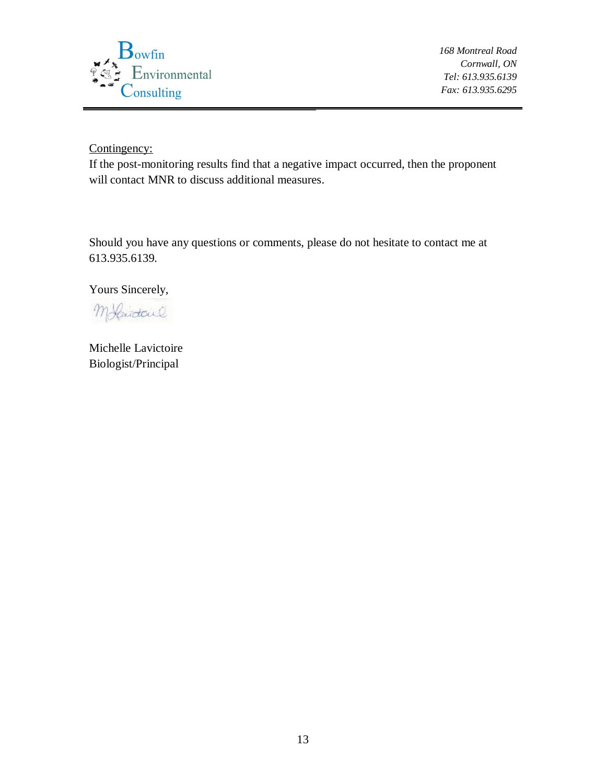

Contingency:

If the post-monitoring results find that a negative impact occurred, then the proponent will contact MNR to discuss additional measures.

Should you have any questions or comments, please do not hesitate to contact me at 613.935.6139.

Yours Sincerely,

Molidaul

Michelle Lavictoire Biologist/Principal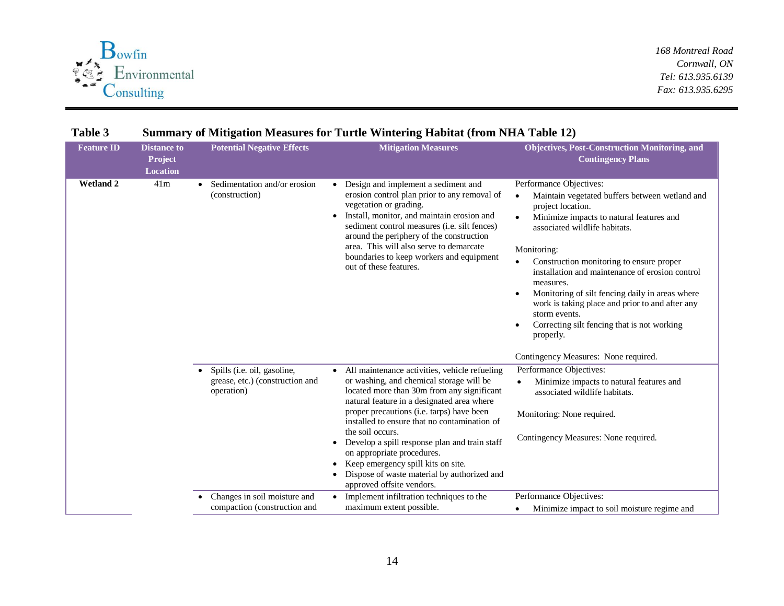

| <b>Feature ID</b> | <b>Distance to</b><br>Project<br><b>Location</b> | <b>Potential Negative Effects</b>                                            | <b>Mitigation Measures</b>                                                                                                                                                                                                                                                                                                                                                                                                                                                                                | <b>Objectives, Post-Construction Monitoring, and</b><br><b>Contingency Plans</b>                                                                                                                                                                                                                                                                                                                                                                                                                       |
|-------------------|--------------------------------------------------|------------------------------------------------------------------------------|-----------------------------------------------------------------------------------------------------------------------------------------------------------------------------------------------------------------------------------------------------------------------------------------------------------------------------------------------------------------------------------------------------------------------------------------------------------------------------------------------------------|--------------------------------------------------------------------------------------------------------------------------------------------------------------------------------------------------------------------------------------------------------------------------------------------------------------------------------------------------------------------------------------------------------------------------------------------------------------------------------------------------------|
| <b>Wetland 2</b>  | 41m                                              | Sedimentation and/or erosion<br>(construction)                               | • Design and implement a sediment and<br>erosion control plan prior to any removal of<br>vegetation or grading.<br>Install, monitor, and maintain erosion and<br>sediment control measures ( <i>i.e.</i> silt fences)<br>around the periphery of the construction<br>area. This will also serve to demarcate<br>boundaries to keep workers and equipment<br>out of these features.                                                                                                                        | Performance Objectives:<br>Maintain vegetated buffers between wetland and<br>$\bullet$<br>project location.<br>Minimize impacts to natural features and<br>associated wildlife habitats.<br>Monitoring:<br>Construction monitoring to ensure proper<br>installation and maintenance of erosion control<br>measures.<br>Monitoring of silt fencing daily in areas where<br>work is taking place and prior to and after any<br>storm events.<br>Correcting silt fencing that is not working<br>properly. |
|                   |                                                  |                                                                              |                                                                                                                                                                                                                                                                                                                                                                                                                                                                                                           | Contingency Measures: None required.                                                                                                                                                                                                                                                                                                                                                                                                                                                                   |
|                   |                                                  | Spills (i.e. oil, gasoline,<br>grease, etc.) (construction and<br>operation) | • All maintenance activities, vehicle refueling<br>or washing, and chemical storage will be<br>located more than 30m from any significant<br>natural feature in a designated area where<br>proper precautions (i.e. tarps) have been<br>installed to ensure that no contamination of<br>the soil occurs.<br>Develop a spill response plan and train staff<br>on appropriate procedures.<br>Keep emergency spill kits on site.<br>Dispose of waste material by authorized and<br>approved offsite vendors. | Performance Objectives:<br>Minimize impacts to natural features and<br>associated wildlife habitats.<br>Monitoring: None required.<br>Contingency Measures: None required.                                                                                                                                                                                                                                                                                                                             |
|                   |                                                  | Changes in soil moisture and<br>compaction (construction and                 | • Implement infiltration techniques to the<br>maximum extent possible.                                                                                                                                                                                                                                                                                                                                                                                                                                    | Performance Objectives:<br>Minimize impact to soil moisture regime and<br>$\bullet$                                                                                                                                                                                                                                                                                                                                                                                                                    |

#### **Table 3 Summary of Mitigation Measures for Turtle Wintering Habitat (from NHA Table 12)**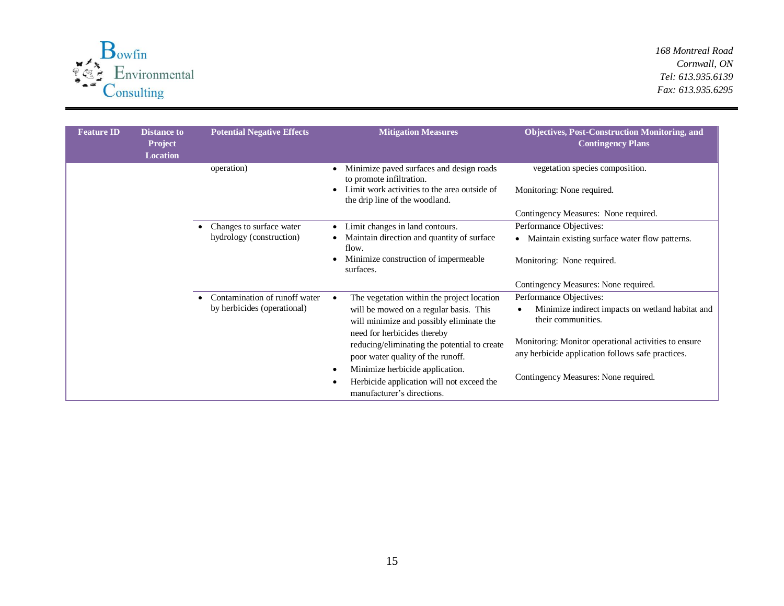

| <b>Feature ID</b> | <b>Distance to</b><br>Project<br><b>Location</b> | <b>Potential Negative Effects</b> | <b>Mitigation Measures</b>                                                                                                                             | <b>Objectives, Post-Construction Monitoring, and</b><br><b>Contingency Plans</b>                          |
|-------------------|--------------------------------------------------|-----------------------------------|--------------------------------------------------------------------------------------------------------------------------------------------------------|-----------------------------------------------------------------------------------------------------------|
|                   |                                                  | operation)                        | Minimize paved surfaces and design roads<br>to promote infiltration.<br>Limit work activities to the area outside of<br>the drip line of the woodland. | vegetation species composition.<br>Monitoring: None required.                                             |
|                   |                                                  |                                   |                                                                                                                                                        | Contingency Measures: None required.                                                                      |
|                   |                                                  | Changes to surface water          | Limit changes in land contours.                                                                                                                        | Performance Objectives:                                                                                   |
|                   |                                                  | hydrology (construction)          | Maintain direction and quantity of surface<br>flow.                                                                                                    | Maintain existing surface water flow patterns.                                                            |
|                   |                                                  |                                   | Minimize construction of impermeable<br>surfaces.                                                                                                      | Monitoring: None required.                                                                                |
|                   |                                                  |                                   |                                                                                                                                                        | Contingency Measures: None required.                                                                      |
|                   |                                                  | Contamination of runoff water     | The vegetation within the project location                                                                                                             | Performance Objectives:                                                                                   |
|                   |                                                  | by herbicides (operational)       | will be mowed on a regular basis. This<br>will minimize and possibly eliminate the                                                                     | Minimize indirect impacts on wetland habitat and<br>their communities.                                    |
|                   |                                                  |                                   | need for herbicides thereby<br>reducing/eliminating the potential to create<br>poor water quality of the runoff.                                       | Monitoring: Monitor operational activities to ensure<br>any herbicide application follows safe practices. |
|                   |                                                  |                                   | Minimize herbicide application.<br>Herbicide application will not exceed the<br>manufacturer's directions.                                             | Contingency Measures: None required.                                                                      |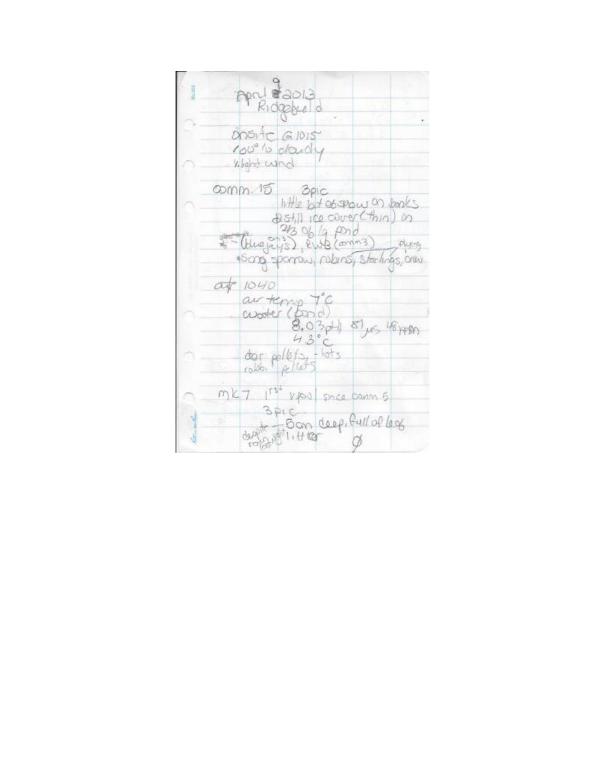| April 82013                                                                           |
|---------------------------------------------------------------------------------------|
| DOSITO GIDIST                                                                         |
| 100° to dardly                                                                        |
| what wind                                                                             |
| Comm. 15 3pic<br>little but as show on books<br>215411 Ice cover (thin) in            |
| 24306/9,000<br>(bugays), ente (commes) plums<br>1500g spanow, nobins, startings, only |
| at 1040                                                                               |
| av temp TC<br>worker (pane)<br>8.03pt) 8/15 48 ABM<br>43°                             |
| dar pollets, thats                                                                    |
| m27 1st vpool since comm 5                                                            |
| 5.01C<br>depit Tom deep, full of lag                                                  |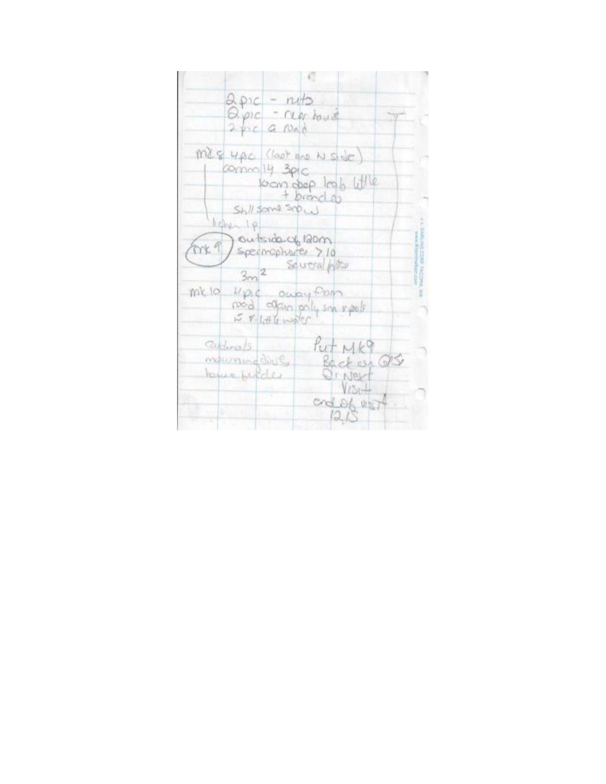|     | $2.8nc - nB$<br>$Q.\rho_1c - \alpha q$ house<br>2 pic G Nad |                                      |  |
|-----|-------------------------------------------------------------|--------------------------------------|--|
|     | MES 4AC (loot are N Side)<br>Compro 14 3pic<br>SM/500450    | locm dep log6 little<br>+ brand do   |  |
| mx9 | ligher 1p<br>outside of 120m<br>Spermaphores >10<br>$3m^2$  | Seureral With                        |  |
|     | millo upic ouay from<br>$5 \times 1.46$ water               | nod alan poly son reals              |  |
|     | $G_{\text{elunals}}$<br>ordumine dire<br>tome funder        | $fut$ $Mk9$<br>Back est QS<br>Ornert |  |
|     |                                                             | $V250+$<br>cnde6 UST<br>1215         |  |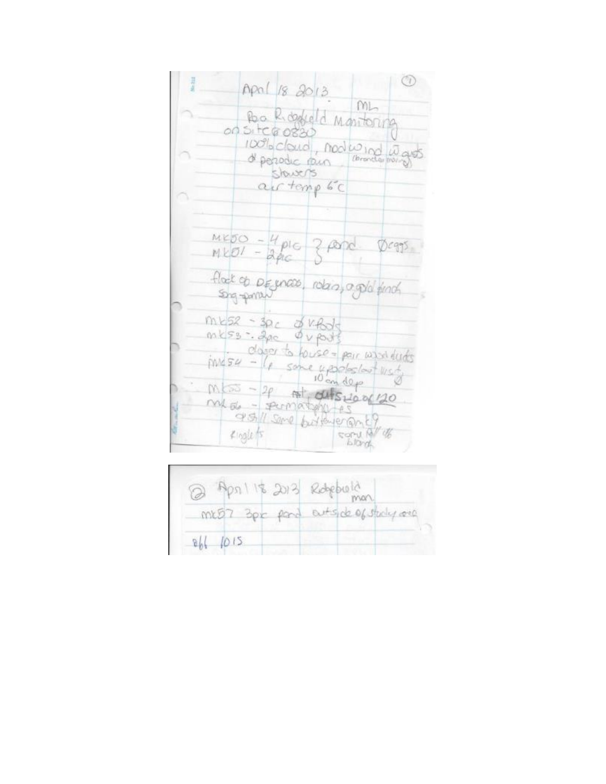| April 18 2013                                                                |
|------------------------------------------------------------------------------|
| ML<br>Ro Regula Montoning<br>00 SI tCB 0830                                  |
| 100% cloud, nodes not was<br>slavers                                         |
| air temp 6C                                                                  |
| $MED - 4pc$ z por Deggs                                                      |
| flock of Degnose, roles, a gold finch                                        |
| $m$ ks2 - 3pc $\phi$ kfor<br>mks3: 2pc ouports                               |
| closer to house = pour want funts<br>$m454 - 16$ some upodes/out $w_5x_7$    |
| 10 cm dep<br>$M_{\text{max}} - 20$ at disclose 20<br>MAGL - PUMATIMU-AS      |
| 95/1 Sme butteyer anty<br>W U<br>$4$ logle fs<br><b>Vici</b><br><b>Lloyd</b> |

| @ April 18 2013 Redeporta          |  |
|------------------------------------|--|
| mr57 3pc part entside of study one |  |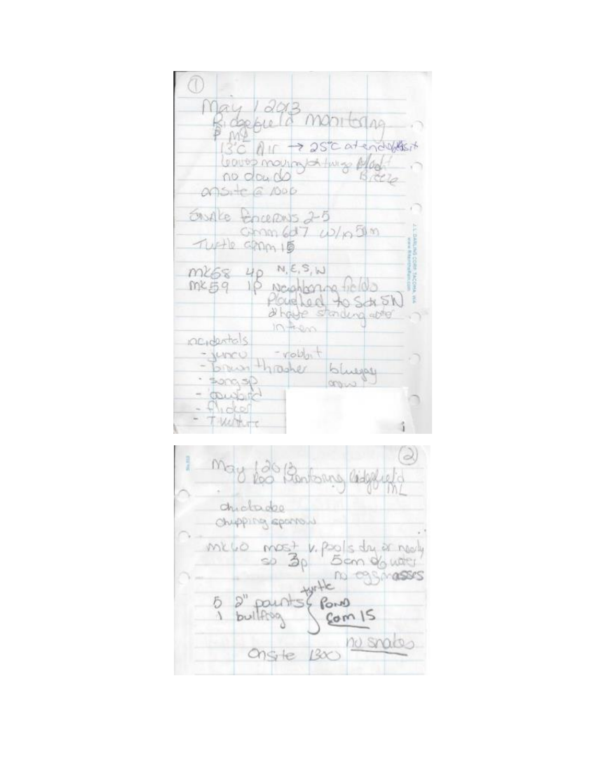| Jay 12013<br>Bidgepulle monitoring                                    | $1360$ or $\rightarrow$ 250 at enoughbors   |
|-----------------------------------------------------------------------|---------------------------------------------|
| leaves mourned this plan<br>no dou do<br>onsite a roop                | 5ct2                                        |
| Englie Encerents 2-5<br>$G_{mn6}$ $G_{7}$ $D/n$ $m$<br>TUFFIC GPDM 15 |                                             |
| N, E, S, W<br>m268 4p<br>megg up Noonbornations<br>$0 + 200$          | Place Leed to Sch SN<br>dhaye standing apto |
| racidentals<br>- volder t<br>wocu<br>Brunthooner blueps<br>50030      | como                                        |
| Counter<br>Turn                                                       |                                             |

3 may for Bontoning lidesty chickadoo Chupping sponsu me vo most v. pols du er nedy<br>Som de weer<br>assessers  $He$  $\begin{array}{c}\n\text{for }0 \\
\text{Com }15\n\end{array}$  $\mathcal{D}^n$  $\frac{5}{1}$ pounts buildroa Ongte 1300 no snakes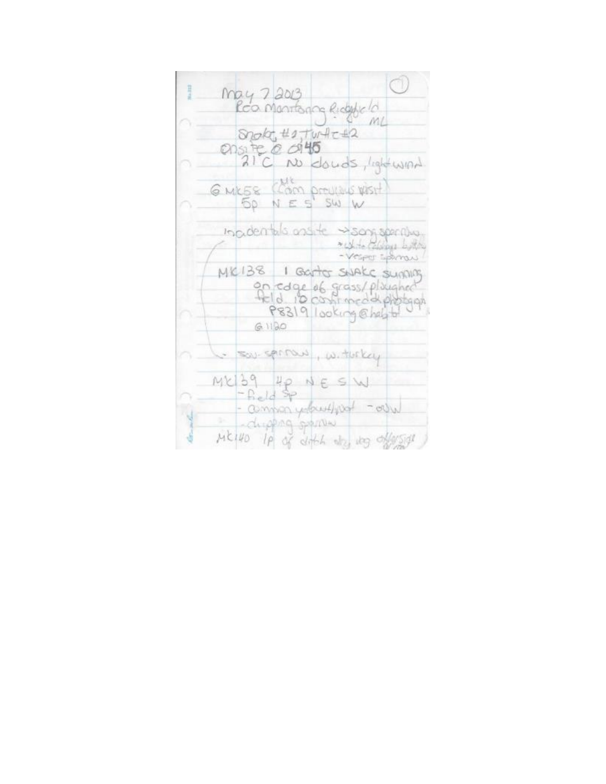| may 7 2013                                                                    |  |
|-------------------------------------------------------------------------------|--|
| Roo Montonna Ridge la                                                         |  |
| Shola, #1, Tur-Ac+2<br>ensite @ 0145                                          |  |
| 21°C No douds, light wind                                                     |  |
| G MKES (Cam provides WEST)<br>$50 N ES$ SW W                                  |  |
| inpidentals ansite som sperillus<br>* Under Colorers by Mary<br>Vesper Sponsu |  |
| MK138 1 Garter SWAKE SUMMING                                                  |  |
| on cage of grass/plaughed<br>P8319 looking @heldto                            |  |
| 61120                                                                         |  |
| - sou sproved, withring                                                       |  |
| $MCD9 \text{ pp} NE \text{SW}$<br>-Reld Sp                                    |  |
| - companydereffing - only<br>- dupping sportive                               |  |
| MC140 IP of ditch day upg of sight                                            |  |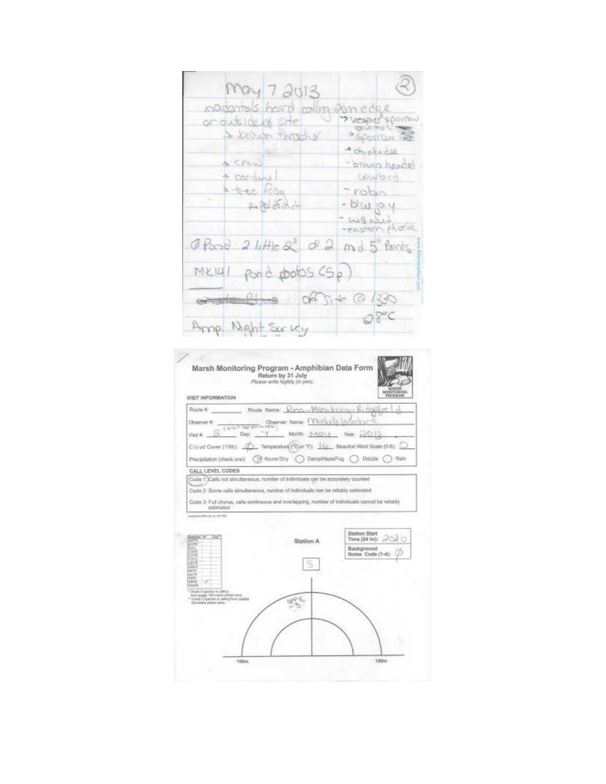| May 7 2013                                             | $(\mathbb{R})$                  |
|--------------------------------------------------------|---------------------------------|
| inadantals heard colling fun edge<br>or autsident site |                                 |
| 4 brown throughy                                       | <b>Sportyw</b><br>· chiotadae   |
| LMS<br>$+$ carding                                     | - bruwn hoodel<br>bound         |
| A tree from<br>Argelotisch                             | - robin<br>$-bluyq$<br>- WB Nut |
| $G$ Pand $2$ little $a^2$ $d^2$ and $5$ Pants          |                                 |
| $MKUU$ pond pools $(S_P)$                              |                                 |
| and the off, + @ 130                                   |                                 |
| Amp Might Survey                                       | QFC                             |

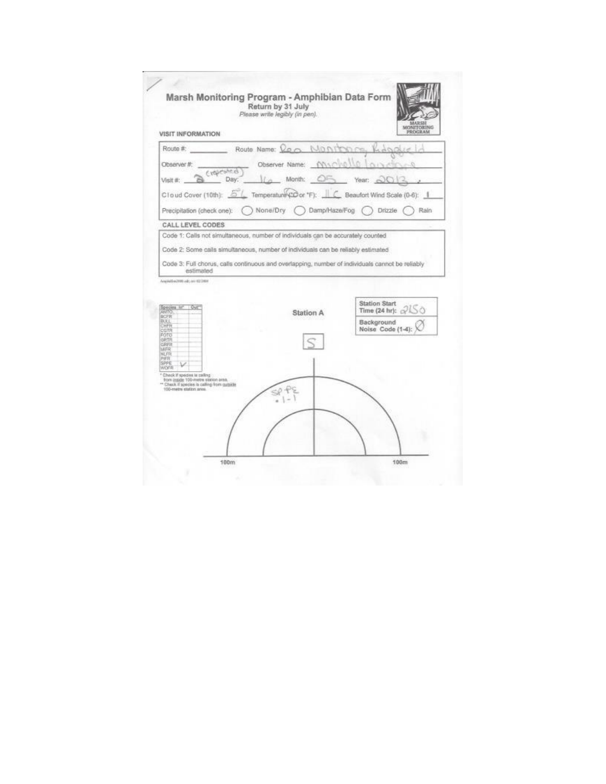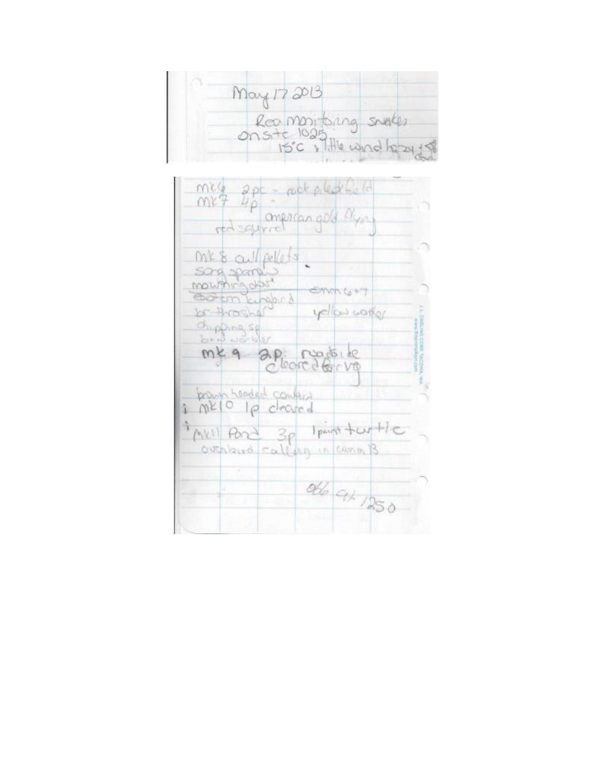| May 1720B                          |
|------------------------------------|
| Rea montoing swakes                |
| $15^{\circ}$ c, Title wind hazy 18 |

| meg apc = rock pled feld                         | red squired mercan gold Myn |                     |  |
|--------------------------------------------------|-----------------------------|---------------------|--|
| MK & all pellets                                 |                             |                     |  |
| song spany<br>mounting das<br>Cotom Europri      |                             | $\oplus$ mm $t_0+1$ |  |
| $b - B$ as $A$<br>Chipping sq<br>$b - b$ worlder |                             | yellow warfor       |  |
| mkq                                              | ap rustike                  |                     |  |
| proun headed contain<br>ME10 10 cleared          |                             |                     |  |
| Mr1 Pond 3p                                      | outsized calling in comm B. | Ipanst toutle       |  |
|                                                  |                             | old at 1250         |  |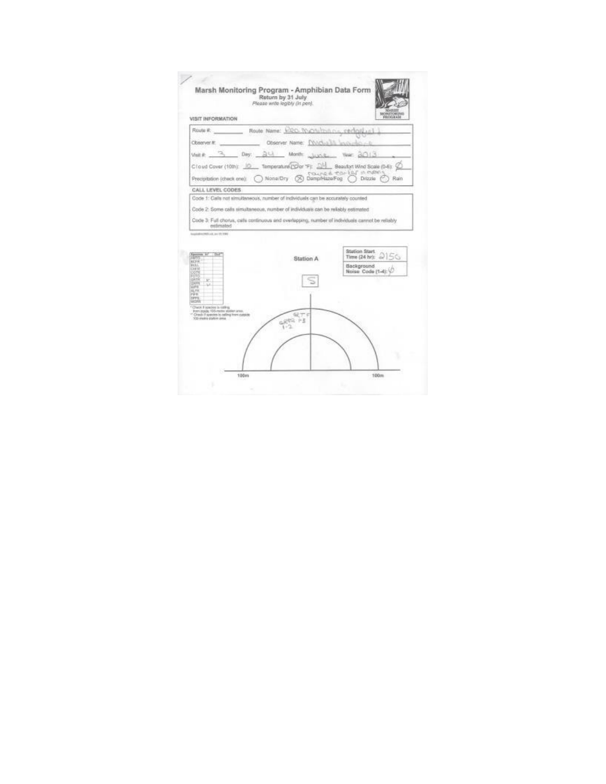

100m

 $100m$